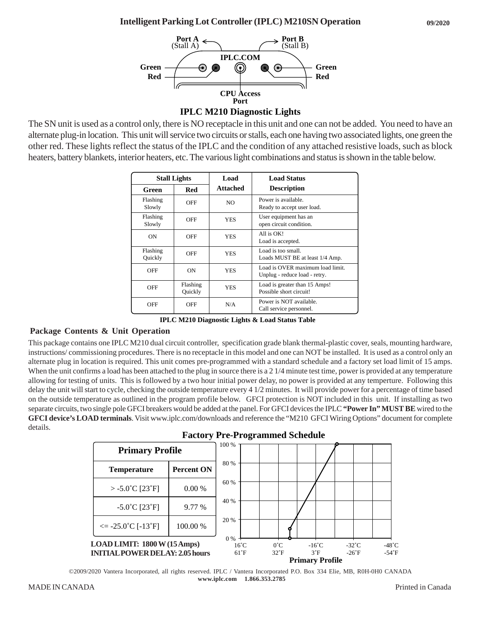

The SN unit is used as a control only, there is NO receptacle in this unit and one can not be added. You need to have an alternate plug-in location. This unit will service two circuits or stalls, each one having two associated lights, one green the other red. These lights reflect the status of the IPLC and the condition of any attached resistive loads, such as block heaters, battery blankets, interior heaters, etc. The various light combinations and status is shown in the table below.

| <b>Stall Lights</b> |                     | Load            | <b>Load Status</b>                                                |
|---------------------|---------------------|-----------------|-------------------------------------------------------------------|
| Green               | Red                 | <b>Attached</b> | <b>Description</b>                                                |
| Flashing<br>Slowly  | OFF                 | NO.             | Power is available.<br>Ready to accept user load.                 |
| Flashing<br>Slowly  | OFF                 | <b>YES</b>      | User equipment has an<br>open circuit condition.                  |
| ON                  | OFF                 | <b>YES</b>      | All is OK!<br>Load is accepted.                                   |
| Flashing<br>Quickly | OFF                 | <b>YES</b>      | Load is too small.<br>Loads MUST BE at least 1/4 Amp.             |
| OFF                 | ON                  | <b>YES</b>      | Load is OVER maximum load limit.<br>Unplug - reduce load - retry. |
| OFF                 | Flashing<br>Quickly | <b>YES</b>      | Load is greater than 15 Amps!<br>Possible short circuit!          |
| OFF                 | <b>OFF</b>          | N/A             | Power is NOT available.<br>Call service personnel.                |

**IPLC M210 Diagnostic Lights & Load Status Table**

## **Package Contents & Unit Operation**

This package contains one IPLC M210 dual circuit controller, specification grade blank thermal-plastic cover, seals, mounting hardware, instructions/ commissioning procedures. There is no receptacle in this model and one can NOT be installed. It is used as a control only an alternate plug in location is required. This unit comes pre-programmed with a standard schedule and a factory set load limit of 15 amps. When the unit confirms a load has been attached to the plug in source there is a 2 1/4 minute test time, power is provided at any temperature allowing for testing of units. This is followed by a two hour initial power delay, no power is provided at any temperture. Following this delay the unit will start to cycle, checking the outside temperature every 4 1/2 minutes. It will provide power for a percentage of time based on the outside temperature as outlined in the program profile below. GFCI protection is NOT included in this unit. If installing as two separate circuits, two single pole GFCI breakers would be added at the panel. For GFCI devices the IPLC **"Power In" MUST BE** wired to the **GFCI device's LOAD terminals**. Visit www.iplc.com/downloads and reference the "M210 GFCI Wiring Options" document for complete details.



©2009/2020 Vantera Incorporated, all rights reserved. IPLC / Vantera Incorporated P.O. Box 334 Elie, MB, R0H-0H0 CANADA  **www.iplc.com 1.866.353.2785**